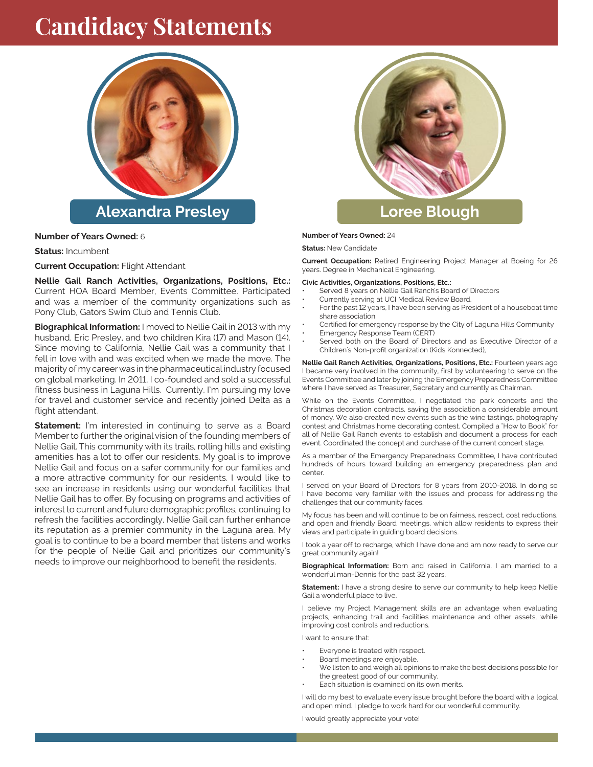# **Candidacy Statements**



#### **Number of Years Owned:** 6

**Status:** Incumbent

**Current Occupation:** Flight Attendant

**Nellie Gail Ranch Activities, Organizations, Positions, Etc.:** Current HOA Board Member, Events Committee. Participated and was a member of the community organizations such as Pony Club, Gators Swim Club and Tennis Club.

**Biographical Information:** I moved to Nellie Gail in 2013 with my husband, Eric Presley, and two children Kira (17) and Mason (14). Since moving to California, Nellie Gail was a community that I fell in love with and was excited when we made the move. The majority of my career was in the pharmaceutical industry focused on global marketing. In 2011, I co-founded and sold a successful fitness business in Laguna Hills. Currently, I'm pursuing my love for travel and customer service and recently joined Delta as a flight attendant.

**Statement:** I'm interested in continuing to serve as a Board Member to further the original vision of the founding members of Nellie Gail. This community with its trails, rolling hills and existing amenities has a lot to offer our residents. My goal is to improve Nellie Gail and focus on a safer community for our families and a more attractive community for our residents. I would like to see an increase in residents using our wonderful facilities that Nellie Gail has to offer. By focusing on programs and activities of interest to current and future demographic profiles, continuing to refresh the facilities accordingly, Nellie Gail can further enhance its reputation as a premier community in the Laguna area. My goal is to continue to be a board member that listens and works for the people of Nellie Gail and prioritizes our community's needs to improve our neighborhood to benefit the residents.



### **Loree Blough**

#### **Number of Years Owned:** 24

**Status:** New Candidate

**Current Occupation:** Retired Engineering Project Manager at Boeing for 26 years. Degree in Mechanical Engineering.

**Civic Activities, Organizations, Positions, Etc.:**

- Served 8 years on Nellie Gail Ranch's Board of Directors
- Currently serving at UCI Medical Review Board.
- For the past 12 years, I have been serving as President of a houseboat time share association.
- Certified for emergency response by the City of Laguna Hills Community
- Emergency Response Team (CERT)
- Served both on the Board of Directors and as Executive Director of a Children's Non-profit organization (Kids Konnected),

**Nellie Gail Ranch Activities, Organizations, Positions, Etc.:** Fourteen years ago I became very involved in the community, first by volunteering to serve on the Events Committee and later by joining the Emergency Preparedness Committee where I have served as Treasurer, Secretary and currently as Chairman.

While on the Events Committee, I negotiated the park concerts and the Christmas decoration contracts, saving the association a considerable amount of money. We also created new events such as the wine tastings, photography contest and Christmas home decorating contest. Compiled a "How to Book" for all of Nellie Gail Ranch events to establish and document a process for each event. Coordinated the concept and purchase of the current concert stage.

As a member of the Emergency Preparedness Committee, I have contributed hundreds of hours toward building an emergency preparedness plan and center.

I served on your Board of Directors for 8 years from 2010-2018. In doing so I have become very familiar with the issues and process for addressing the challenges that our community faces.

My focus has been and will continue to be on fairness, respect, cost reductions, and open and friendly Board meetings, which allow residents to express their views and participate in guiding board decisions.

I took a year off to recharge, which I have done and am now ready to serve our great community again!

**Biographical Information:** Born and raised in California. I am married to a wonderful man-Dennis for the past 32 years.

**Statement:** I have a strong desire to serve our community to help keep Nellie Gail a wonderful place to live.

I believe my Project Management skills are an advantage when evaluating projects, enhancing trail and facilities maintenance and other assets, while improving cost controls and reductions.

I want to ensure that:

- Everyone is treated with respect.
- Board meetings are enjoyable.
- We listen to and weigh all opinions to make the best decisions possible for the greatest good of our community.
- Each situation is examined on its own merits.

I will do my best to evaluate every issue brought before the board with a logical and open mind. I pledge to work hard for our wonderful community.

I would greatly appreciate your vote!